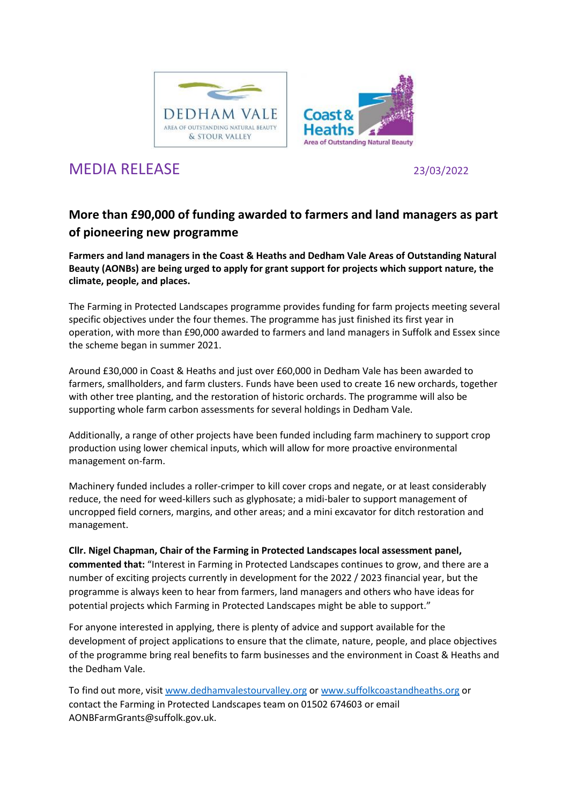



## MEDIA RELEASE 23/03/2022

## **More than £90,000 of funding awarded to farmers and land managers as part of pioneering new programme**

**Farmers and land managers in the Coast & Heaths and Dedham Vale Areas of Outstanding Natural Beauty (AONBs) are being urged to apply for grant support for projects which support nature, the climate, people, and places.** 

The Farming in Protected Landscapes programme provides funding for farm projects meeting several specific objectives under the four themes. The programme has just finished its first year in operation, with more than £90,000 awarded to farmers and land managers in Suffolk and Essex since the scheme began in summer 2021.

Around £30,000 in Coast & Heaths and just over £60,000 in Dedham Vale has been awarded to farmers, smallholders, and farm clusters. Funds have been used to create 16 new orchards, together with other tree planting, and the restoration of historic orchards. The programme will also be supporting whole farm carbon assessments for several holdings in Dedham Vale.

Additionally, a range of other projects have been funded including farm machinery to support crop production using lower chemical inputs, which will allow for more proactive environmental management on-farm.

Machinery funded includes a roller-crimper to kill cover crops and negate, or at least considerably reduce, the need for weed-killers such as glyphosate; a midi-baler to support management of uncropped field corners, margins, and other areas; and a mini excavator for ditch restoration and management.

**Cllr. Nigel Chapman, Chair of the Farming in Protected Landscapes local assessment panel, commented that:** "Interest in Farming in Protected Landscapes continues to grow, and there are a number of exciting projects currently in development for the 2022 / 2023 financial year, but the programme is always keen to hear from farmers, land managers and others who have ideas for potential projects which Farming in Protected Landscapes might be able to support."

For anyone interested in applying, there is plenty of advice and support available for the development of project applications to ensure that the climate, nature, people, and place objectives of the programme bring real benefits to farm businesses and the environment in Coast & Heaths and the Dedham Vale.

To find out more, visit [www.dedhamvalestourvalley.org](http://www.dedhamvalestourvalley.org/) or [www.suffolkcoastandheaths.org](http://www.suffolkcoastandheaths.org/) or contact the Farming in Protected Landscapes team on 01502 674603 or email AONBFarmGrants@suffolk.gov.uk.